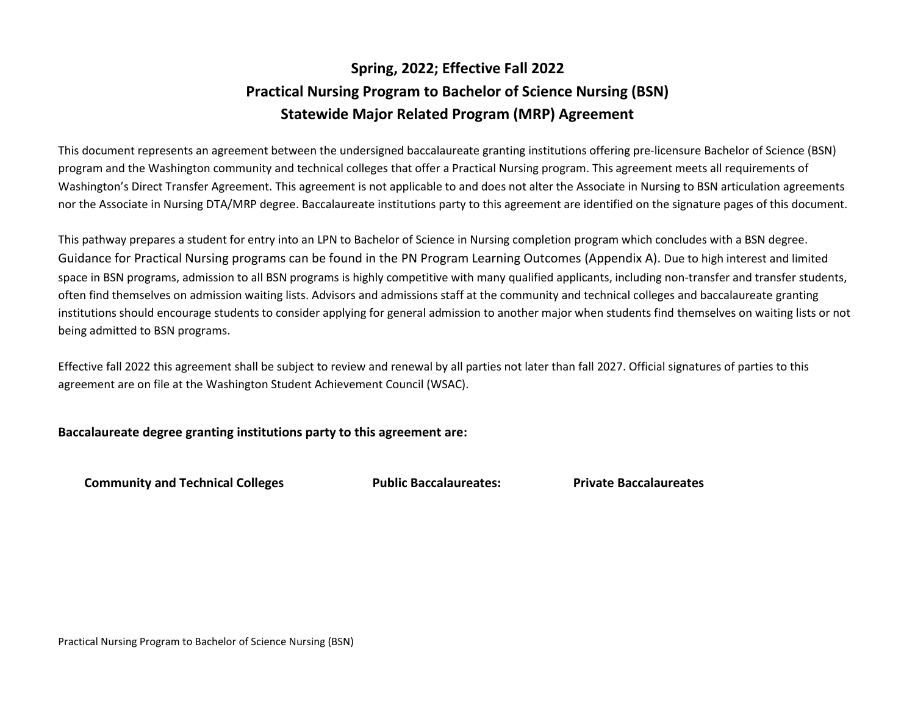# **Spring, 2022; Effective Fall 2022 Practical Nursing Program to Bachelor of Science Nursing (BSN) Statewide Major Related Program (MRP) Agreement**

This document represents an agreement between the undersigned baccalaureate granting institutions offering pre-licensure Bachelor of Science (BSN) program and the Washington community and technical colleges that offer a Practical Nursing program. This agreement meets all requirements of Washington's Direct Transfer Agreement. This agreement is not applicable to and does not alter the Associate in Nursing to BSN articulation agreements nor the Associate in Nursing DTA/MRP degree. Baccalaureate institutions party to this agreement are identified on the signature pages of this document.

This pathway prepares a student for entry into an LPN to Bachelor of Science in Nursing completion program which concludes with a BSN degree. Guidance for Practical Nursing programs can be found in the PN Program Learning Outcomes (Appendix A). Due to high interest and limited space in BSN programs, admission to all BSN programs is highly competitive with many qualified applicants, including non-transfer and transfer students, often find themselves on admission waiting lists. Advisors and admissions staff at the community and technical colleges and baccalaureate granting institutions should encourage students to consider applying for general admission to another major when students find themselves on waiting lists or not being admitted to BSN programs.

Effective fall 2022 this agreement shall be subject to review and renewal by all parties not later than fall 2027. Official signatures of parties to this agreement are on file at the Washington Student Achievement Council (WSAC).

## **Baccalaureate degree granting institutions party to this agreement are:**

**Community and Technical Colleges Public Baccalaureates: Private Baccalaureates**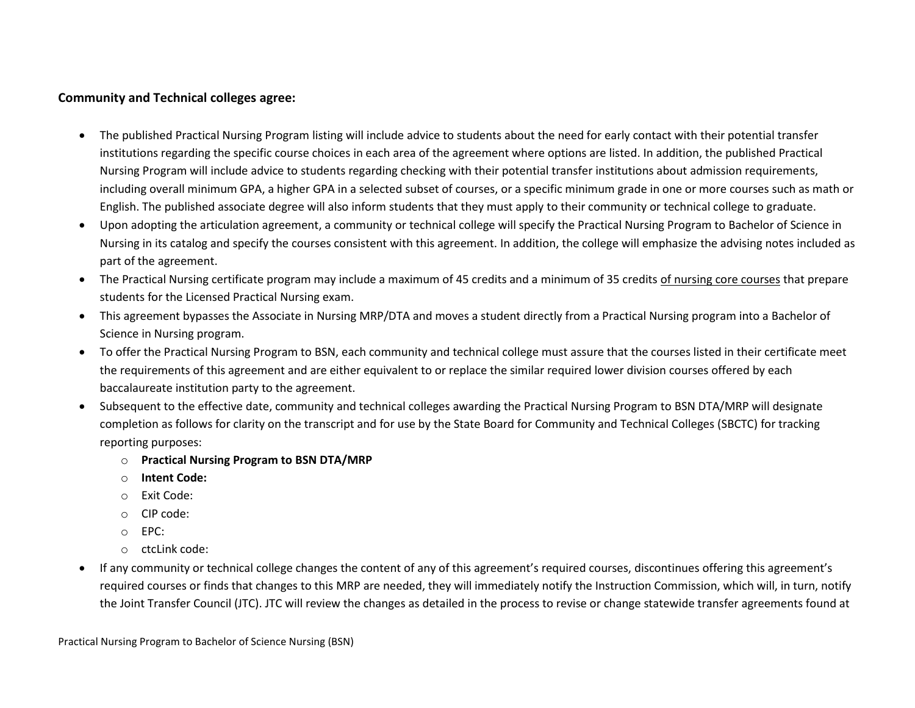## **Community and Technical colleges agree:**

- The published Practical Nursing Program listing will include advice to students about the need for early contact with their potential transfer institutions regarding the specific course choices in each area of the agreement where options are listed. In addition, the published Practical Nursing Program will include advice to students regarding checking with their potential transfer institutions about admission requirements, including overall minimum GPA, a higher GPA in a selected subset of courses, or a specific minimum grade in one or more courses such as math or English. The published associate degree will also inform students that they must apply to their community or technical college to graduate.
- Upon adopting the articulation agreement, a community or technical college will specify the Practical Nursing Program to Bachelor of Science in Nursing in its catalog and specify the courses consistent with this agreement. In addition, the college will emphasize the advising notes included as part of the agreement.
- The Practical Nursing certificate program may include a maximum of 45 credits and a minimum of 35 credits of nursing core courses that prepare students for the Licensed Practical Nursing exam.
- This agreement bypasses the Associate in Nursing MRP/DTA and moves a student directly from a Practical Nursing program into a Bachelor of Science in Nursing program.
- To offer the Practical Nursing Program to BSN, each community and technical college must assure that the courses listed in their certificate meet the requirements of this agreement and are either equivalent to or replace the similar required lower division courses offered by each baccalaureate institution party to the agreement.
- Subsequent to the effective date, community and technical colleges awarding the Practical Nursing Program to BSN DTA/MRP will designate completion as follows for clarity on the transcript and for use by the State Board for Community and Technical Colleges (SBCTC) for tracking reporting purposes:
	- o **Practical Nursing Program to BSN DTA/MRP**
	- o **Intent Code:**
	- o Exit Code:
	- o CIP code:
	- o EPC:
	- $\circ$  ctcl ink code:
- If any community or technical college changes the content of any of this agreement's required courses, discontinues offering this agreement's required courses or finds that changes to this MRP are needed, they will immediately notify the Instruction Commission, which will, in turn, notify the Joint Transfer Council (JTC). JTC will review the changes as detailed in the process to revise or change statewide transfer agreements found at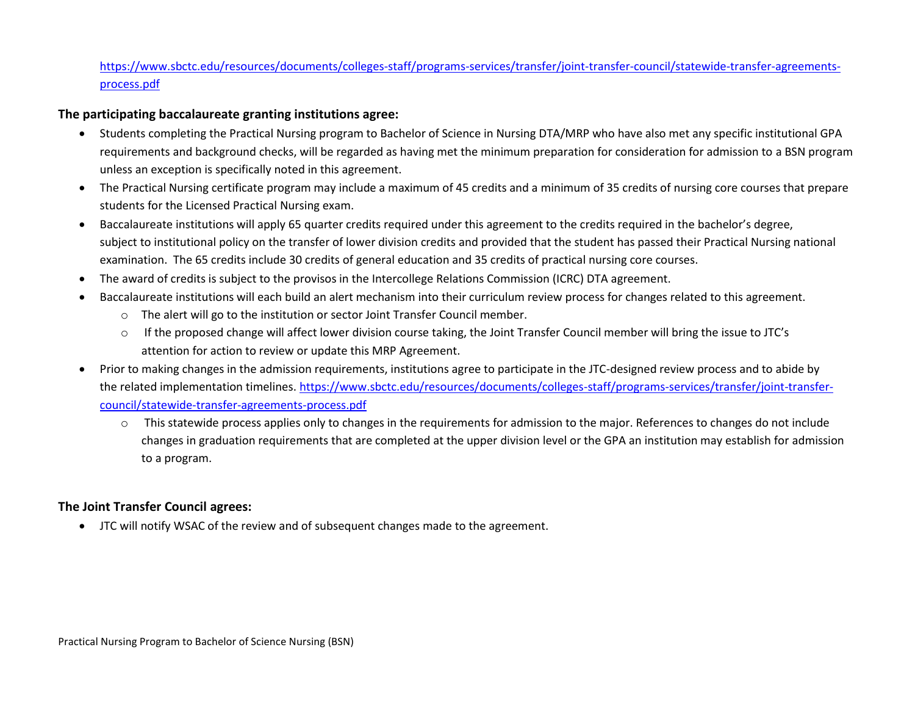## [https://www.sbctc.edu/resources/documents/colleges-staff/programs-services/transfer/joint-transfer-council/statewide-transfer-agreements](https://www.sbctc.edu/resources/documents/colleges-staff/programs-services/transfer/joint-transfer-council/statewide-transfer-agreements-process.pdf)[process.pdf](https://www.sbctc.edu/resources/documents/colleges-staff/programs-services/transfer/joint-transfer-council/statewide-transfer-agreements-process.pdf)

## **The participating baccalaureate granting institutions agree:**

- Students completing the Practical Nursing program to Bachelor of Science in Nursing DTA/MRP who have also met any specific institutional GPA requirements and background checks, will be regarded as having met the minimum preparation for consideration for admission to a BSN program unless an exception is specifically noted in this agreement.
- The Practical Nursing certificate program may include a maximum of 45 credits and a minimum of 35 credits of nursing core courses that prepare students for the Licensed Practical Nursing exam.
- Baccalaureate institutions will apply 65 quarter credits required under this agreement to the credits required in the bachelor's degree, subject to institutional policy on the transfer of lower division credits and provided that the student has passed their Practical Nursing national examination. The 65 credits include 30 credits of general education and 35 credits of practical nursing core courses.
- The award of credits is subject to the provisos in the Intercollege Relations Commission (ICRC) DTA agreement.
- Baccalaureate institutions will each build an alert mechanism into their curriculum review process for changes related to this agreement.
	- $\circ$  The alert will go to the institution or sector Joint Transfer Council member.
	- o If the proposed change will affect lower division course taking, the Joint Transfer Council member will bring the issue to JTC's attention for action to review or update this MRP Agreement.
- Prior to making changes in the admission requirements, institutions agree to participate in the JTC-designed review process and to abide by the related implementation timelines. [https://www.sbctc.edu/resources/documents/colleges-staff/programs-services/transfer/joint-transfer](https://www.sbctc.edu/resources/documents/colleges-staff/programs-services/transfer/joint-transfer-council/statewide-transfer-agreements-process.pdf)[council/statewide-transfer-agreements-process.pdf](https://www.sbctc.edu/resources/documents/colleges-staff/programs-services/transfer/joint-transfer-council/statewide-transfer-agreements-process.pdf)
	- $\circ$  This statewide process applies only to changes in the requirements for admission to the major. References to changes do not include changes in graduation requirements that are completed at the upper division level or the GPA an institution may establish for admission to a program.

## **The Joint Transfer Council agrees:**

• JTC will notify WSAC of the review and of subsequent changes made to the agreement.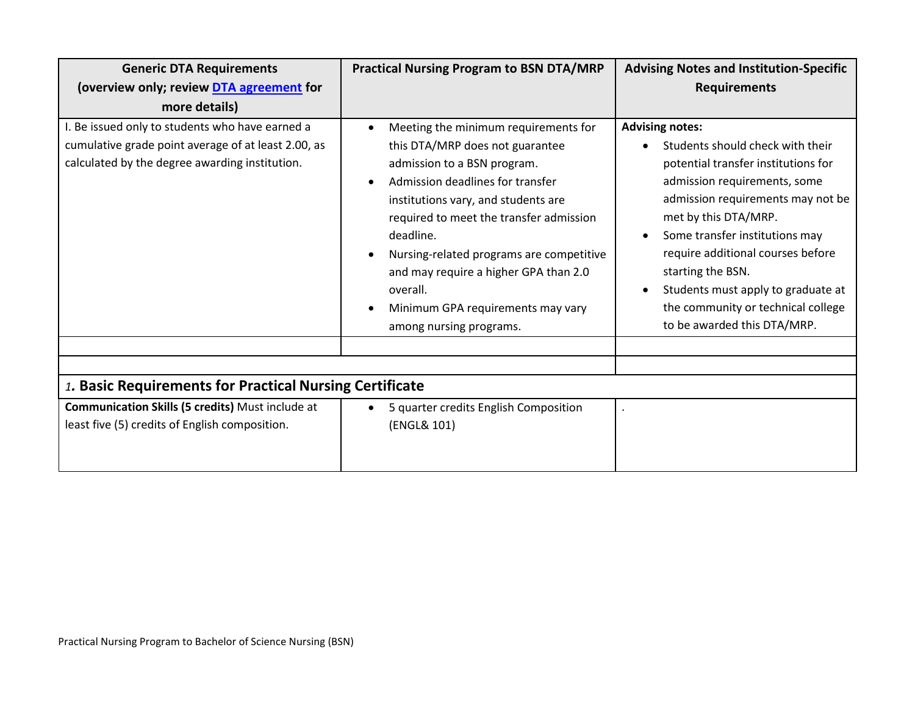| <b>Generic DTA Requirements</b>                                                                                                                          | <b>Practical Nursing Program to BSN DTA/MRP</b>                                                                                                                                                                                                                                                                                                                                                                         | <b>Advising Notes and Institution-Specific</b>                                                                                                                                                                                                                                                                                                                                                        |
|----------------------------------------------------------------------------------------------------------------------------------------------------------|-------------------------------------------------------------------------------------------------------------------------------------------------------------------------------------------------------------------------------------------------------------------------------------------------------------------------------------------------------------------------------------------------------------------------|-------------------------------------------------------------------------------------------------------------------------------------------------------------------------------------------------------------------------------------------------------------------------------------------------------------------------------------------------------------------------------------------------------|
| (overview only; review DTA agreement for                                                                                                                 |                                                                                                                                                                                                                                                                                                                                                                                                                         | <b>Requirements</b>                                                                                                                                                                                                                                                                                                                                                                                   |
| more details)                                                                                                                                            |                                                                                                                                                                                                                                                                                                                                                                                                                         |                                                                                                                                                                                                                                                                                                                                                                                                       |
| I. Be issued only to students who have earned a<br>cumulative grade point average of at least 2.00, as<br>calculated by the degree awarding institution. | Meeting the minimum requirements for<br>this DTA/MRP does not guarantee<br>admission to a BSN program.<br>Admission deadlines for transfer<br>$\bullet$<br>institutions vary, and students are<br>required to meet the transfer admission<br>deadline.<br>Nursing-related programs are competitive<br>and may require a higher GPA than 2.0<br>overall.<br>Minimum GPA requirements may vary<br>among nursing programs. | <b>Advising notes:</b><br>Students should check with their<br>potential transfer institutions for<br>admission requirements, some<br>admission requirements may not be<br>met by this DTA/MRP.<br>Some transfer institutions may<br>require additional courses before<br>starting the BSN.<br>Students must apply to graduate at<br>the community or technical college<br>to be awarded this DTA/MRP. |
| 1. Basic Requirements for Practical Nursing Certificate                                                                                                  |                                                                                                                                                                                                                                                                                                                                                                                                                         |                                                                                                                                                                                                                                                                                                                                                                                                       |
| Communication Skills (5 credits) Must include at                                                                                                         | 5 quarter credits English Composition<br>$\bullet$                                                                                                                                                                                                                                                                                                                                                                      |                                                                                                                                                                                                                                                                                                                                                                                                       |
| least five (5) credits of English composition.                                                                                                           | (ENGL& 101)                                                                                                                                                                                                                                                                                                                                                                                                             |                                                                                                                                                                                                                                                                                                                                                                                                       |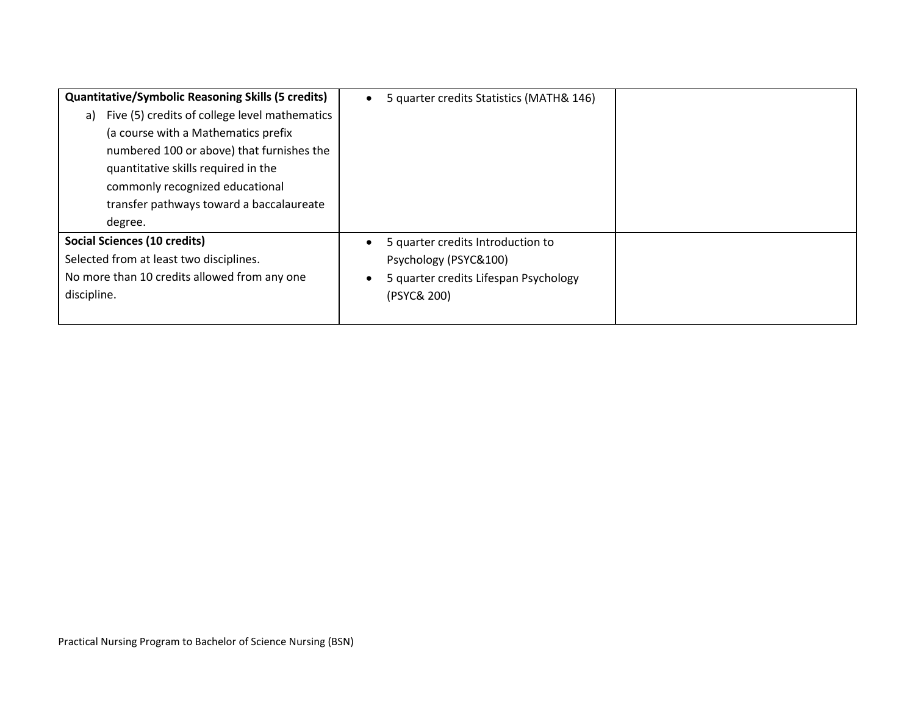| <b>Quantitative/Symbolic Reasoning Skills (5 credits)</b> | 5 quarter credits Statistics (MATH& 146) |  |
|-----------------------------------------------------------|------------------------------------------|--|
| Five (5) credits of college level mathematics<br>a)       |                                          |  |
| (a course with a Mathematics prefix                       |                                          |  |
| numbered 100 or above) that furnishes the                 |                                          |  |
| quantitative skills required in the                       |                                          |  |
| commonly recognized educational                           |                                          |  |
| transfer pathways toward a baccalaureate                  |                                          |  |
| degree.                                                   |                                          |  |
| <b>Social Sciences (10 credits)</b>                       | 5 quarter credits Introduction to        |  |
| Selected from at least two disciplines.                   | Psychology (PSYC&100)                    |  |
| No more than 10 credits allowed from any one              | 5 quarter credits Lifespan Psychology    |  |
| discipline.                                               | (PSYC& 200)                              |  |
|                                                           |                                          |  |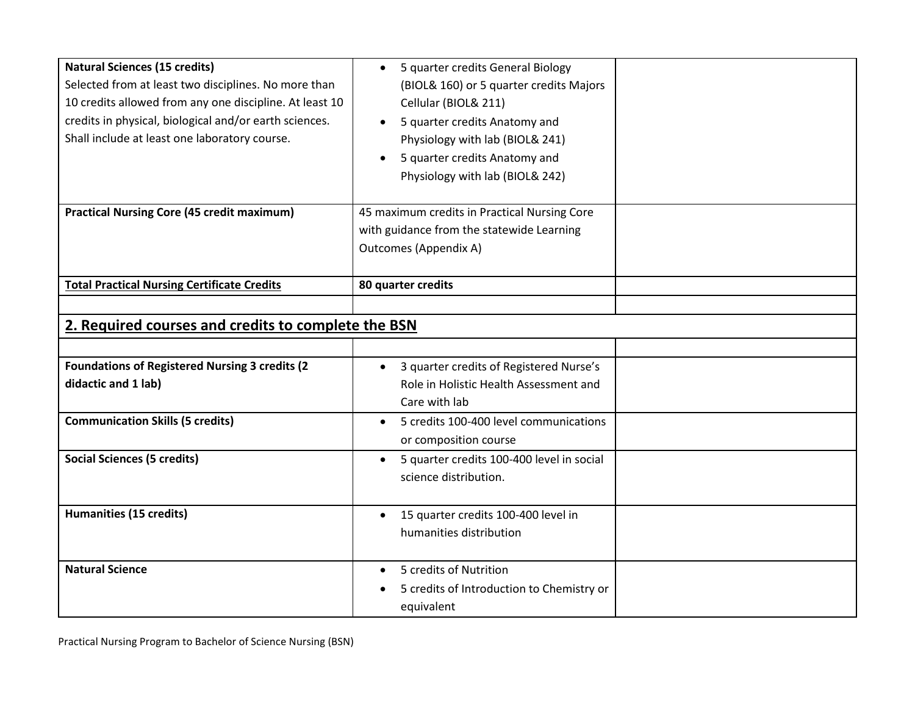| <b>Natural Sciences (15 credits)</b><br>Selected from at least two disciplines. No more than<br>10 credits allowed from any one discipline. At least 10<br>credits in physical, biological and/or earth sciences.<br>Shall include at least one laboratory course. | 5 quarter credits General Biology<br>$\bullet$<br>(BIOL& 160) or 5 quarter credits Majors<br>Cellular (BIOL& 211)<br>5 quarter credits Anatomy and<br>$\bullet$<br>Physiology with lab (BIOL& 241)<br>5 quarter credits Anatomy and<br>Physiology with lab (BIOL& 242) |  |
|--------------------------------------------------------------------------------------------------------------------------------------------------------------------------------------------------------------------------------------------------------------------|------------------------------------------------------------------------------------------------------------------------------------------------------------------------------------------------------------------------------------------------------------------------|--|
| <b>Practical Nursing Core (45 credit maximum)</b>                                                                                                                                                                                                                  | 45 maximum credits in Practical Nursing Core<br>with guidance from the statewide Learning<br><b>Outcomes (Appendix A)</b>                                                                                                                                              |  |
| <b>Total Practical Nursing Certificate Credits</b>                                                                                                                                                                                                                 | 80 quarter credits                                                                                                                                                                                                                                                     |  |
|                                                                                                                                                                                                                                                                    |                                                                                                                                                                                                                                                                        |  |
| 2. Required courses and credits to complete the BSN                                                                                                                                                                                                                |                                                                                                                                                                                                                                                                        |  |
|                                                                                                                                                                                                                                                                    |                                                                                                                                                                                                                                                                        |  |
| <b>Foundations of Registered Nursing 3 credits (2)</b>                                                                                                                                                                                                             | 3 quarter credits of Registered Nurse's                                                                                                                                                                                                                                |  |
| didactic and 1 lab)                                                                                                                                                                                                                                                | Role in Holistic Health Assessment and<br>Care with lab                                                                                                                                                                                                                |  |
| <b>Communication Skills (5 credits)</b>                                                                                                                                                                                                                            | 5 credits 100-400 level communications<br>$\bullet$<br>or composition course                                                                                                                                                                                           |  |
| <b>Social Sciences (5 credits)</b>                                                                                                                                                                                                                                 | 5 quarter credits 100-400 level in social<br>$\bullet$<br>science distribution.                                                                                                                                                                                        |  |
| <b>Humanities (15 credits)</b>                                                                                                                                                                                                                                     | 15 quarter credits 100-400 level in<br>$\bullet$<br>humanities distribution                                                                                                                                                                                            |  |
| <b>Natural Science</b>                                                                                                                                                                                                                                             | 5 credits of Nutrition<br>5 credits of Introduction to Chemistry or<br>equivalent                                                                                                                                                                                      |  |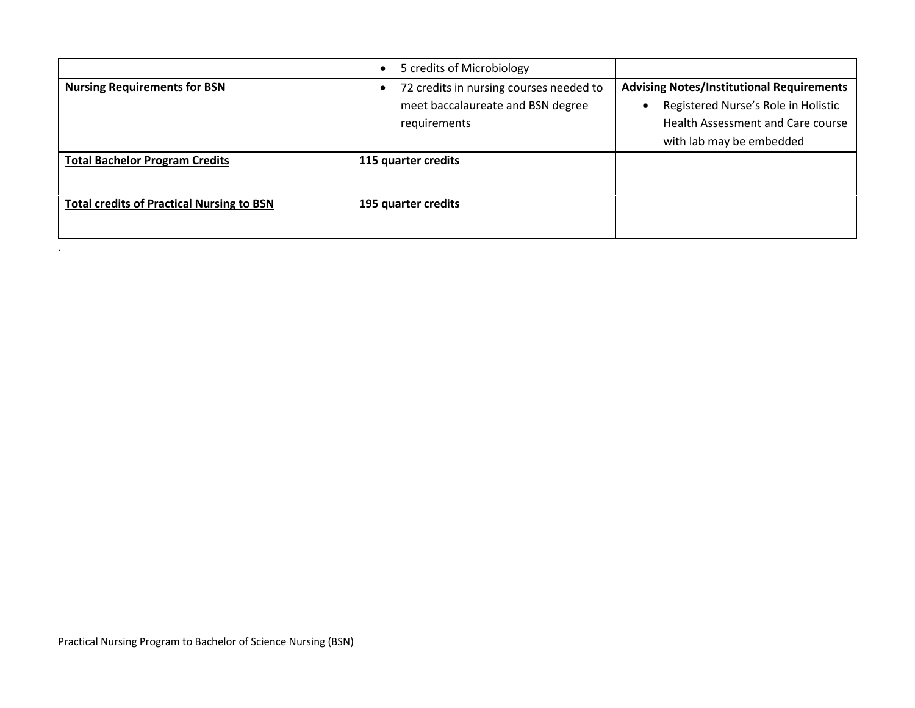|                                                  | 5 credits of Microbiology<br>$\bullet$  |                                                  |
|--------------------------------------------------|-----------------------------------------|--------------------------------------------------|
| <b>Nursing Requirements for BSN</b>              | 72 credits in nursing courses needed to | <b>Advising Notes/Institutional Requirements</b> |
|                                                  | meet baccalaureate and BSN degree       | Registered Nurse's Role in Holistic              |
|                                                  | requirements                            | Health Assessment and Care course                |
|                                                  |                                         | with lab may be embedded                         |
| <b>Total Bachelor Program Credits</b>            | 115 quarter credits                     |                                                  |
|                                                  |                                         |                                                  |
| <b>Total credits of Practical Nursing to BSN</b> | 195 quarter credits                     |                                                  |
|                                                  |                                         |                                                  |
|                                                  |                                         |                                                  |

.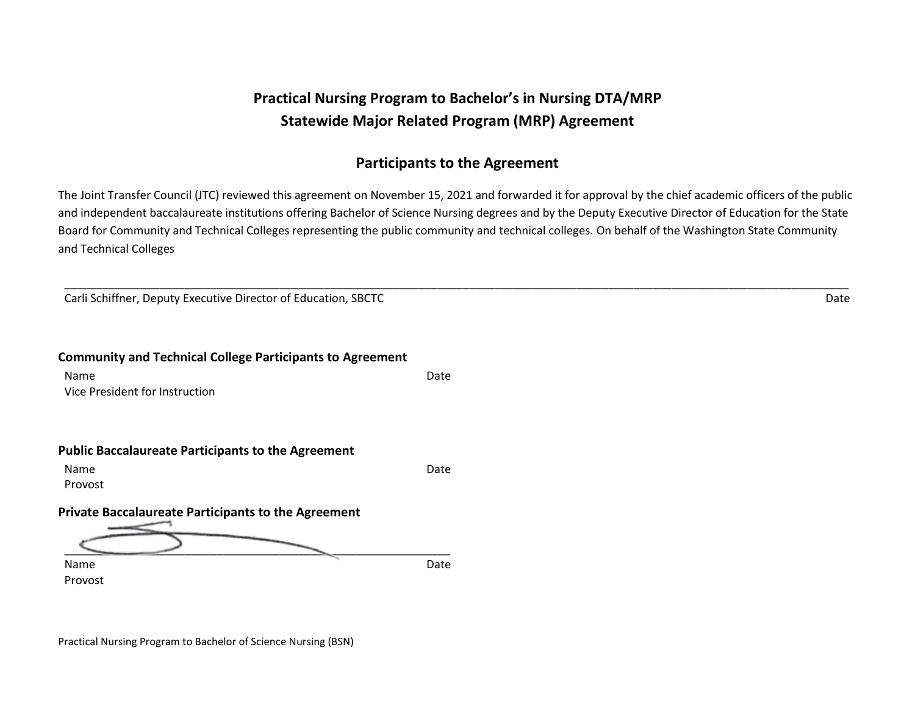# **Practical Nursing Program to Bachelor's in Nursing DTA/MRP Statewide Major Related Program (MRP) Agreement**

# **Participants to the Agreement**

The Joint Transfer Council (JTC) reviewed this agreement on November 15, 2021 and forwarded it for approval by the chief academic officers of the public and independent baccalaureate institutions offering Bachelor of Science Nursing degrees and by the Deputy Executive Director of Education for the State Board for Community and Technical Colleges representing the public community and technical colleges. On behalf of the Washington State Community and Technical Colleges

\_\_\_\_\_\_\_\_\_\_\_\_\_\_\_\_\_\_\_\_\_\_\_\_\_\_\_\_\_\_\_\_\_\_\_\_\_\_\_\_\_\_\_\_\_\_\_\_\_\_\_\_\_\_\_\_\_\_\_\_\_\_\_\_\_\_\_\_\_\_\_\_\_\_\_\_\_\_\_\_\_\_\_\_\_\_\_\_\_\_\_\_\_\_\_\_\_\_\_\_\_\_\_\_\_\_\_\_\_\_\_\_\_\_\_\_\_\_\_\_\_\_\_\_

Carli Schiffner, Deputy Executive Director of Education, SBCTC News Assembly Date of Carli Schiffner, Deputy Executive Director of Education, SBCTC News Assembly Date of Carli Schiffner, Deputy Executive Director of Educat

**Community and Technical College Participants to Agreement** Name Date by the Contract of the Contract of the Contract of the Date Date Vice President for Instruction

## **Public Baccalaureate Participants to the Agreement**

Name Date and the Contract of the Contract of the Contract of the Date Date Provost

**Private Baccalaureate Participants to the Agreement**

 $\underbrace{\hspace{1.5cm}}$ Name Date by the Contract of the Contract of the Contract of the Date Date

Provost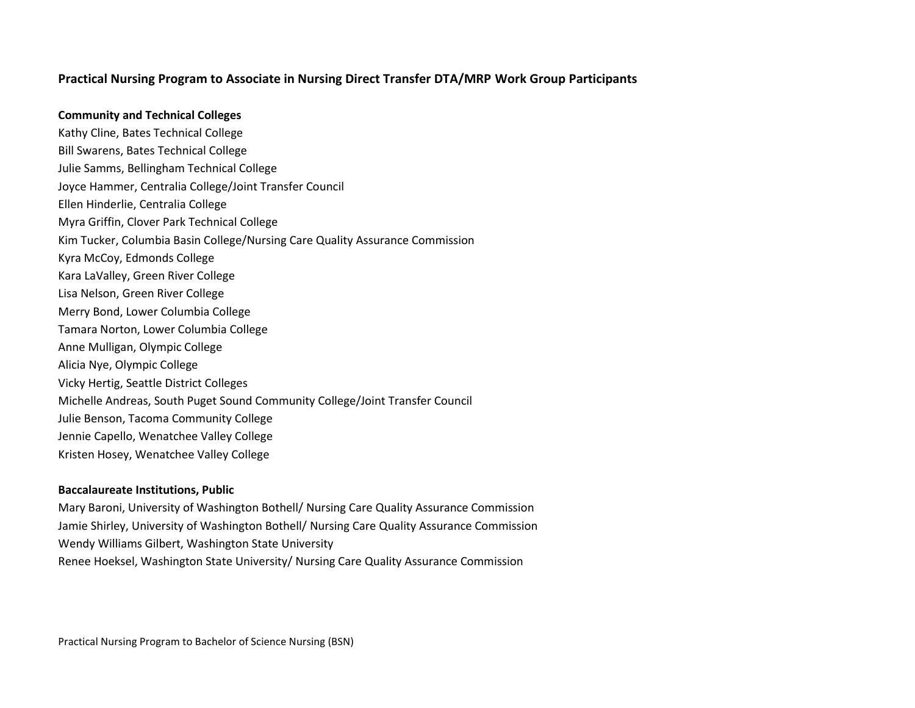## **Practical Nursing Program to Associate in Nursing Direct Transfer DTA/MRP Work Group Participants**

#### **Community and Technical Colleges**

Kathy Cline, Bates Technical College Bill Swarens, Bates Technical College Julie Samms, Bellingham Technical College Joyce Hammer, Centralia College/Joint Transfer Council Ellen Hinderlie, Centralia College Myra Griffin, Clover Park Technical College Kim Tucker, Columbia Basin College/Nursing Care Quality Assurance Commission Kyra McCoy, Edmonds College Kara LaValley, Green River College Lisa Nelson, Green River College Merry Bond, Lower Columbia College Tamara Norton, Lower Columbia College Anne Mulligan, Olympic College Alicia Nye, Olympic College Vicky Hertig, Seattle District Colleges Michelle Andreas, South Puget Sound Community College/Joint Transfer Council Julie Benson, Tacoma Community College Jennie Capello, Wenatchee Valley College Kristen Hosey, Wenatchee Valley College

#### **Baccalaureate Institutions, Public**

Mary Baroni, University of Washington Bothell/ Nursing Care Quality Assurance Commission Jamie Shirley, University of Washington Bothell/ Nursing Care Quality Assurance Commission Wendy Williams Gilbert, Washington State University Renee Hoeksel, Washington State University/ Nursing Care Quality Assurance Commission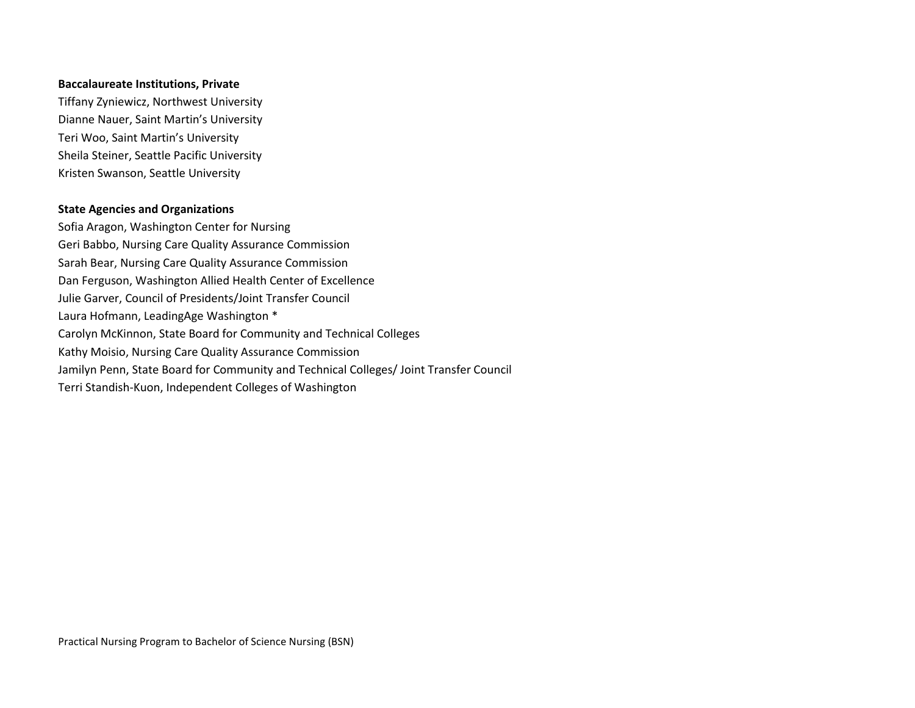## **Baccalaureate Institutions, Private**

Tiffany Zyniewicz, Northwest University Dianne Nauer, Saint Martin's University Teri Woo, Saint Martin's University Sheila Steiner, Seattle Pacific University Kristen Swanson, Seattle University

## **State Agencies and Organizations**

Sofia Aragon, Washington Center for Nursing Geri Babbo, Nursing Care Quality Assurance Commission Sarah Bear, Nursing Care Quality Assurance Commission Dan Ferguson, Washington Allied Health Center of Excellence Julie Garver, Council of Presidents/Joint Transfer Council Laura Hofmann, LeadingAge Washington \* Carolyn McKinnon, State Board for Community and Technical Colleges Kathy Moisio, Nursing Care Quality Assurance Commission Jamilyn Penn, State Board for Community and Technical Colleges/ Joint Transfer Council Terri Standish-Kuon, Independent Colleges of Washington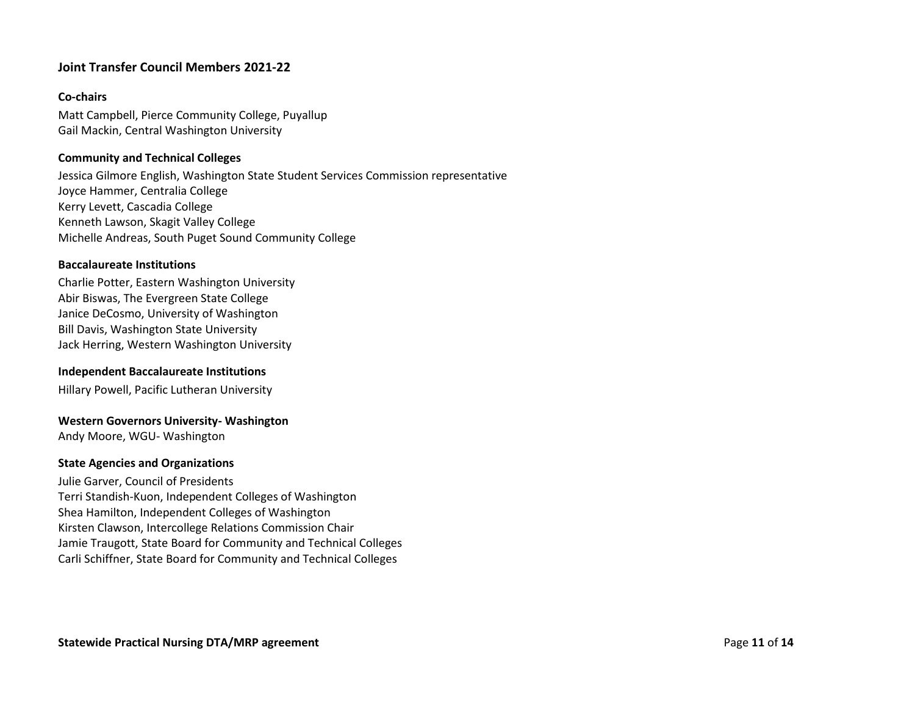## **Joint Transfer Council Members 2021-22**

## **Co-chairs**

Matt Campbell, Pierce Community College, Puyallup Gail Mackin, Central Washington University

## **Community and Technical Colleges**

Jessica Gilmore English, Washington State Student Services Commission representative Joyce Hammer, Centralia College Kerry Levett, Cascadia College Kenneth Lawson, Skagit Valley College Michelle Andreas, South Puget Sound Community College

## **Baccalaureate Institutions**

Charlie Potter, Eastern Washington University Abir Biswas, The Evergreen State College Janice DeCosmo, University of Washington Bill Davis, Washington State University Jack Herring, Western Washington University

#### **Independent Baccalaureate Institutions**

Hillary Powell, Pacific Lutheran University

#### **Western Governors University- Washington**

Andy Moore, WGU- Washington

#### **State Agencies and Organizations**

Julie Garver, Council of Presidents Terri Standish-Kuon, Independent Colleges of Washington Shea Hamilton, Independent Colleges of Washington Kirsten Clawson, Intercollege Relations Commission Chair Jamie Traugott, State Board for Community and Technical Colleges Carli Schiffner, State Board for Community and Technical Colleges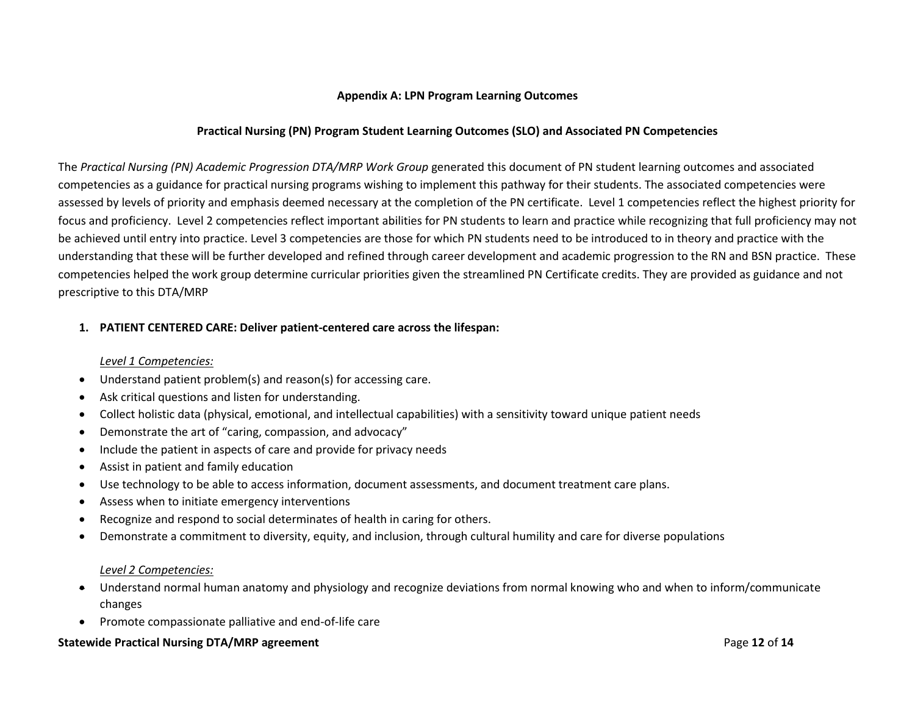## **Appendix A: LPN Program Learning Outcomes**

## **Practical Nursing (PN) Program Student Learning Outcomes (SLO) and Associated PN Competencies**

The *Practical Nursing (PN) Academic Progression DTA/MRP Work Group* generated this document of PN student learning outcomes and associated competencies as a guidance for practical nursing programs wishing to implement this pathway for their students. The associated competencies were assessed by levels of priority and emphasis deemed necessary at the completion of the PN certificate. Level 1 competencies reflect the highest priority for focus and proficiency. Level 2 competencies reflect important abilities for PN students to learn and practice while recognizing that full proficiency may not be achieved until entry into practice. Level 3 competencies are those for which PN students need to be introduced to in theory and practice with the understanding that these will be further developed and refined through career development and academic progression to the RN and BSN practice. These competencies helped the work group determine curricular priorities given the streamlined PN Certificate credits. They are provided as guidance and not prescriptive to this DTA/MRP

## **1. PATIENT CENTERED CARE: Deliver patient-centered care across the lifespan:**

#### *Level 1 Competencies:*

- Understand patient problem(s) and reason(s) for accessing care.
- Ask critical questions and listen for understanding.
- Collect holistic data (physical, emotional, and intellectual capabilities) with a sensitivity toward unique patient needs
- Demonstrate the art of "caring, compassion, and advocacy"
- Include the patient in aspects of care and provide for privacy needs
- Assist in patient and family education
- Use technology to be able to access information, document assessments, and document treatment care plans.
- Assess when to initiate emergency interventions
- Recognize and respond to social determinates of health in caring for others.
- Demonstrate a commitment to diversity, equity, and inclusion, through cultural humility and care for diverse populations

#### *Level 2 Competencies:*

- Understand normal human anatomy and physiology and recognize deviations from normal knowing who and when to inform/communicate changes
- Promote compassionate palliative and end-of-life care

#### **Statewide Practical Nursing DTA/MRP agreement** Page **12** of **14**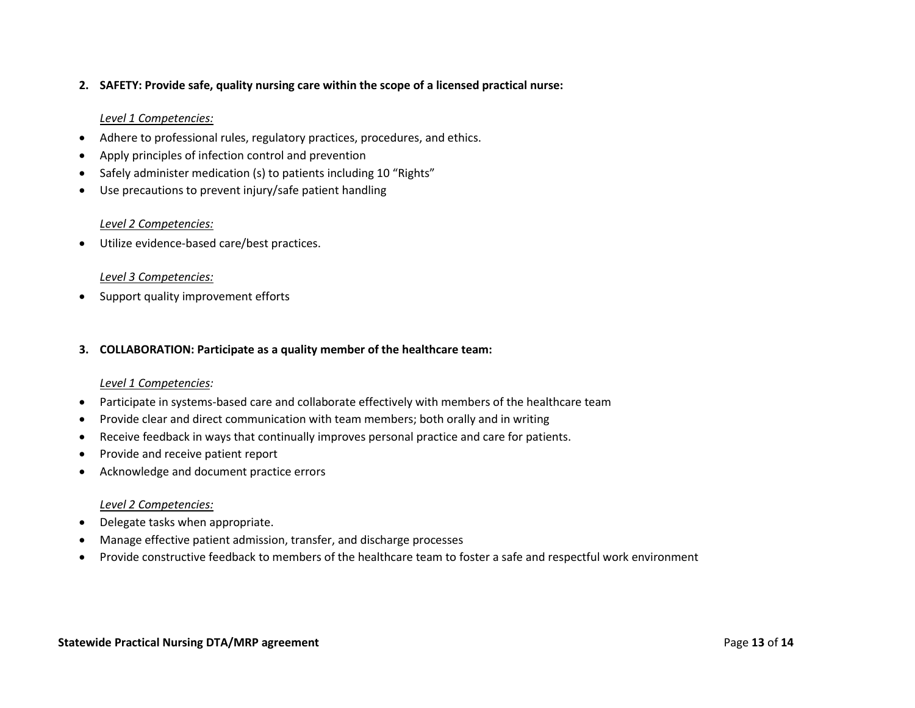## **2. SAFETY: Provide safe, quality nursing care within the scope of a licensed practical nurse:**

## *Level 1 Competencies:*

- Adhere to professional rules, regulatory practices, procedures, and ethics.
- Apply principles of infection control and prevention
- Safely administer medication (s) to patients including 10 "Rights"
- Use precautions to prevent injury/safe patient handling

## *Level 2 Competencies:*

• Utilize evidence-based care/best practices.

## *Level 3 Competencies:*

• Support quality improvement efforts

#### **3. COLLABORATION: Participate as a quality member of the healthcare team:**

#### *Level 1 Competencies:*

- Participate in systems-based care and collaborate effectively with members of the healthcare team
- Provide clear and direct communication with team members; both orally and in writing
- Receive feedback in ways that continually improves personal practice and care for patients.
- Provide and receive patient report
- Acknowledge and document practice errors

## *Level 2 Competencies:*

- Delegate tasks when appropriate.
- Manage effective patient admission, transfer, and discharge processes
- Provide constructive feedback to members of the healthcare team to foster a safe and respectful work environment